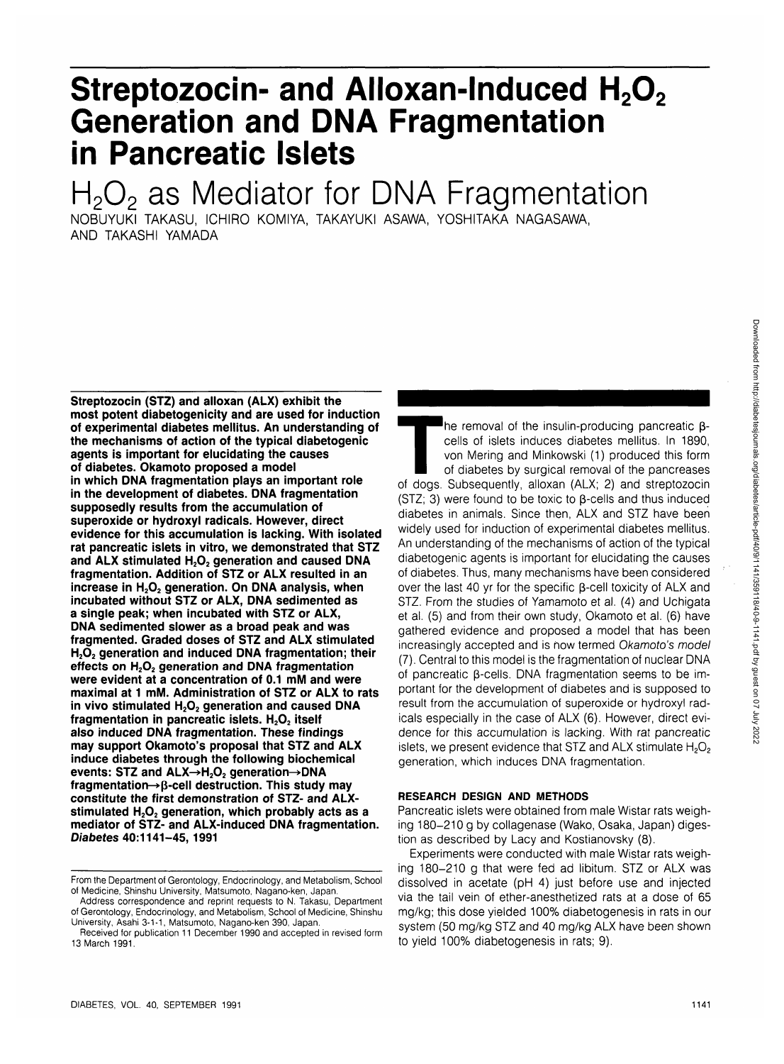# **Streptozocin- and Alloxan-Induced H<sub>2</sub>O<sub>2</sub> Generation and DNA Fragmentation in Pancreatic Islets**

# $H<sub>2</sub>O<sub>2</sub>$  as Mediator for DNA Fragmentation

NOBUYUKI TAKASU, ICHIRO KOMIYA, TAKAYUKI ASAWA, YOSHITAKA NAGASAWA, AND TAKASHI YAMADA

**Streptozocin (STZ) and alloxan (ALX) exhibit the most potent diabetogenicity and are used for induction of experimental diabetes mellitus. An understanding of the mechanisms of action of the typical diabetogenic agents is important for elucidating the causes of diabetes. Okamoto proposed a model in which DNA fragmentation plays an important role in the development of diabetes. DNA fragmentation supposedly results from the accumulation of superoxide or hydroxyl radicals. However, direct evidence for this accumulation is lacking. With isolated rat pancreatic islets in vitro, we demonstrated that STZ** and ALX stimulated H<sub>2</sub>O<sub>2</sub> generation and caused DNA **fragmentation. Addition of STZ or ALX resulted in an** increase in H<sub>2</sub>O<sub>2</sub> generation. On DNA analysis, when **incubated without STZ or ALX, DNA sedimented as a single peak; when incubated with STZ or ALX, DNA sedimented slower as a broad peak and was fragmented. Graded doses of STZ and ALX stimulated** H<sub>2</sub>O<sub>2</sub> generation and induced DNA fragmentation; their effects on H<sub>2</sub>O<sub>2</sub> generation and DNA fragmentation **were evident at a concentration of 0.1 mM and were maximal at 1 mM. Administration of STZ or ALX to rats** in vivo stimulated H<sub>2</sub>O<sub>2</sub> generation and caused DNA fragmentation in pancreatic islets. H<sub>2</sub>O<sub>2</sub> itself **also induced DNA fragmentation. These findings may support Okamoto's proposal that STZ and ALX induce diabetes through the following biochemical** events: STZ and ALX→H<sub>2</sub>O<sub>2</sub> generation→DNA fragmentation-> $\beta$ -cell destruction. This study may **constitute the first demonstration of STZ- and ALX**stimulated H<sub>2</sub>O<sub>2</sub> generation, which probably acts as a **mediator of STZ- and ALX-induced DNA fragmentation. Diabetes 40:1141-45, 1991**

The removal of the insulin-producing pancreatic  $\beta$ -<br>cells of islets induces diabetes mellitus. In 1890,<br>von Mering and Minkowski (1) produced this form<br>of diabetes by surgical removal of the pancreases<br>of dogs. Subsequen cells of islets induces diabetes mellitus. In 1890, von Mering and Minkowski (1) produced this form of diabetes by surgical removal of the pancreases (STZ; 3) were found to be toxic to  $\beta$ -cells and thus induced diabetes in animals. Since then, ALX and STZ have been widely used for induction of experimental diabetes mellitus. An understanding of the mechanisms of action of the typical diabetogenic agents is important for elucidating the causes of diabetes. Thus, many mechanisms have been considered over the last 40 yr for the specific  $\beta$ -cell toxicity of ALX and STZ. From the studies of Yamamoto et al. (4) and Uchigata et al. (5) and from their own study, Okamoto et al. (6) have gathered evidence and proposed a model that has been increasingly accepted and is how termed Okamoto's model (7). Central to this model is the fragmentation of nuclear DNA of pancreatic B-cells. DNA fragmentation seems to be important for the development of diabetes and is supposed to result from the accumulation of superoxide or hydroxyl radicals especially in the case of ALX (6). However, direct evidence for this accumulation is lacking. With rat pancreatic islets, we present evidence that STZ and ALX stimulate  $H_2O_2$ generation, which induces DNA fragmentation.

# **RESEARCH DESIGN AND METHODS**

Pancreatic islets were obtained from male Wistar rats weighing 180-210 g by collagenase (Wako, Osaka, Japan) digestion as described by Lacy and Kostianovsky (8).

Experiments were conducted with male Wistar rats weighing 180-210 g that were fed ad libitum. STZ or ALX was dissolved in acetate (pH 4) just before use and injected via the tail vein of ether-anesthetized rats at a dose of 65 mg/kg; this dose yielded 100% diabetogenesis in rats in our system (50 mg/kg STZ and 40 mg/kg ALX have been shown to yield 100% diabetogenesis in rats; 9).

From the Department of Gerontology, Endocrinology, and Metabolism, School of Medicine, Shinshu University, Matsumoto, Nagano-ken, Japan.

Address correspondence and reprint requests to N. Takasu, Department of Gerontology, Endocrinology, and Metabolism, School of Medicine, Shinshu University, Asahi 3-1-1, Matsumoto, Nagano-ken 390, Japan.

Received for publication 11 December 1990 and accepted in revised form 13 March 1991.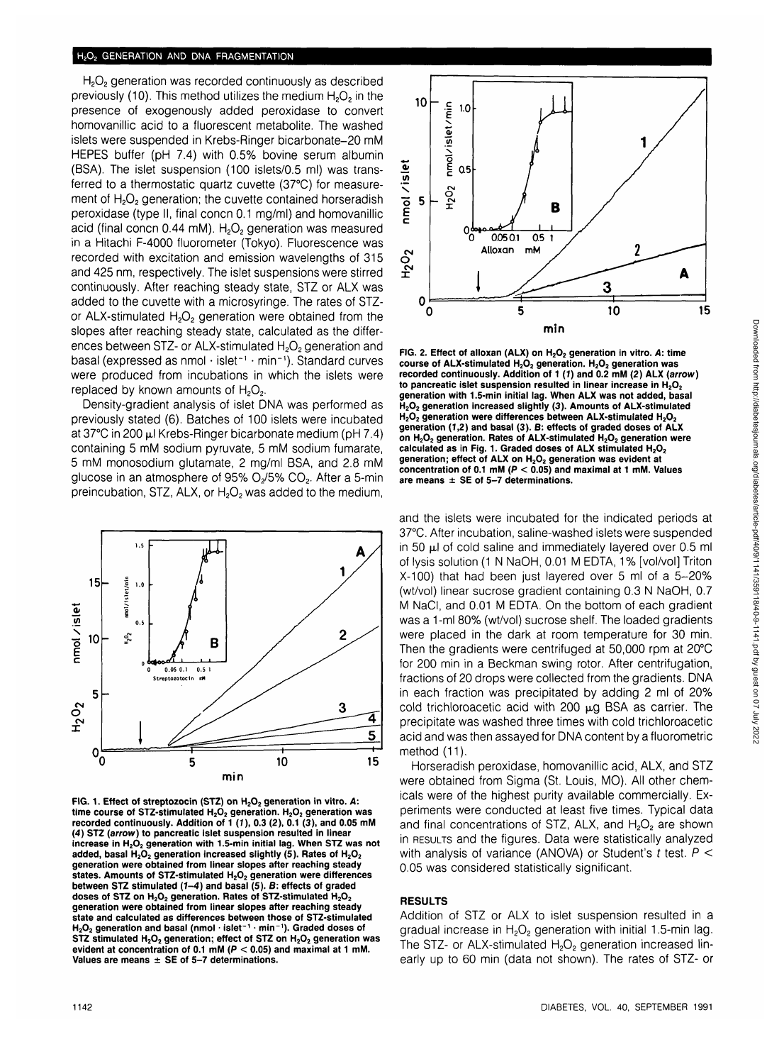# **H2O2 GENERATION AND DNA FRAGMENTATION**

H<sub>2</sub>O<sub>2</sub> generation was recorded continuously as described previously (10). This method utilizes the medium  $H_2O_2$  in the presence of exogenously added peroxidase to convert homovanillic acid to a fluorescent metabolite. The washed islets were suspended in Krebs-Ringer bicarbonate-20 mM HEPES buffer (pH 7.4) with 0.5% bovine serum albumin (BSA). The islet suspension (100 islets/0.5 ml) was transferred to a thermostatic quartz cuvette (37°C) for measurement of H<sub>2</sub>O<sub>2</sub> generation; the cuvette contained horseradish peroxidase (type II, final concn 0.1 mg/ml) and homovanillic acid (final concn  $0.44$  mM). H<sub>2</sub>O<sub>2</sub> generation was measured in a Hitachi F-4000 fluorometer (Tokyo). Fluorescence was recorded with excitation and emission wavelengths of 315 and 425 nm, respectively. The islet suspensions were stirred continuously. After reaching steady state, STZ or ALX was added to the cuvette with a microsyringe. The rates of STZor ALX-stimulated  $H_2O_2$  generation were obtained from the slopes after reaching steady state, calculated as the differences between STZ- or ALX-stimulated  $H_2O_2$  generation and basal (expressed as nmol • islet"<sup>1</sup> • min~1 ). Standard curves were produced from incubations in which the islets were replaced by known amounts of  $H_2O_2$ .

Density-gradient analysis of islet DNA was performed as previously stated (6). Batches of 100 islets were incubated at 37 $^{\circ}$ C in 200 µl Krebs-Ringer bicarbonate medium (pH 7.4) containing 5 mM sodium pyruvate, 5 mM sodium fumarate, 5 mM monosodium glutamate, 2 mg/ml BSA, and 2.8 mM glucose in an atmosphere of  $95\%$   $O_2/5\%$   $CO_2$ . After a 5-min preincubation, STZ, ALX, or  $H_2O_2$  was added to the medium,



FIG. 1. Effect of streptozocin (STZ) on H<sub>2</sub>O<sub>2</sub> generation in vitro. A: time course of STZ-stimulated H<sub>2</sub>O<sub>2</sub> generation. H<sub>2</sub>O<sub>2</sub> generation was **recorded continuously. Addition of 1 (7), 0.3 (2), 0.1 (3), and 0.05 mM (4) STZ (arrow) to pancreatic islet suspension resulted in linear** increase in H<sub>2</sub>O<sub>2</sub> generation with 1.5-min initial lag. When STZ was not added, basal H<sub>2</sub>O<sub>2</sub> generation increased slightly (5). Rates of H<sub>2</sub>O<sub>2</sub> **generation were obtained from linear slopes after reaching steady** states. Amounts of STZ-stimulated H<sub>2</sub>O<sub>2</sub> generation were differences **between STZ stimulated (7-4) and basal (5). B: effects of graded** doses of STZ on H<sub>2</sub>O<sub>2</sub> generation. Rates of STZ-stimulated H<sub>2</sub>O<sub>2</sub> **generation were obtained from linear slopes after reaching steady state and calculated as differences between those of STZ-stimulated H2O2 generation and basal (nmol • islet'<sup>1</sup> • min~<sup>1</sup> ). Graded doses of STZ stimulated H<sub>2</sub>O<sub>2</sub> generation; effect of STZ on H<sub>2</sub>O<sub>2</sub> generation was evident at concentration of 0.1 mM (P < 0.05) and maximal at 1 mM. Values are means ± SE of 5-7 determinations.**



**FIG. 2. Effect of alloxan (ALX) on H2O2 generation in vitro. A: time** course of ALX-stimulated H<sub>2</sub>O<sub>2</sub> generation. H<sub>2</sub>O<sub>2</sub> generation was<br>recorded continuously. Addition of 1 (1) and 0.2 mM (2) ALX (*arrow* ) to pancreatic islet suspension resulted in linear increase in H<sub>2</sub>O<sub>2</sub> **generation with 1.5-min initial lag. When ALX was not added, basal H2O2 generation increased slightly (3). Amounts of ALX-stimulated** H<sub>2</sub>O<sub>2</sub> generation were differences between ALX-stimulated H<sub>2</sub>O<sub>2</sub> **generation (7,2) and basal (3). B: effects of graded doses of ALX** on H<sub>2</sub>O<sub>2</sub> generation. Rates of ALX-stimulated H<sub>2</sub>O<sub>2</sub> generation were calculated as in Fig. 1. Graded doses of ALX stimulated H<sub>2</sub>O<sub>2</sub> generation; effect of ALX on H<sub>2</sub>O<sub>2</sub> generation was evident at **concentration of 0.1 mM (P < 0.05) and maximal at 1 mM. Values are means ± SE of 5-7 determinations.**

and the islets were incubated for the indicated periods at 37°C. After incubation, saline-washed islets were suspended in 50  $\mu$ l of cold saline and immediately layered over 0.5 ml of lysis solution (1 N NaOH, 0.01 M EDTA, 1% [vol/vol] Triton X-100) that had been just layered over 5 ml of a 5-20% (wt/vol) linear sucrose gradient containing 0.3 N NaOH, 0.7 M NaCI, and 0.01 M EDTA. On the bottom of each gradient was a 1-ml 80% (wt/vol) sucrose shelf. The loaded gradients were placed in the dark at room temperature for 30 min. Then the gradients were centrifuged at 50,000 rpm at 20°C for 200 min in a Beckman swing rotor. After centrifugation, fractions of 20 drops were collected from the gradients. DNA in each fraction was precipitated by adding 2 ml of 20% cold trichloroacetic acid with 200  $\mu$ g BSA as carrier. The precipitate was washed three times with cold trichloroacetic acid and was then assayed for DNA content by a fluorometric method (11).

Horseradish peroxidase, homovanillic acid, ALX, and STZ were obtained from Sigma (St. Louis, MO). All other chemicals were of the highest purity available commercially. Experiments were conducted at least five times. Typical data and final concentrations of STZ, ALX, and  $H_2O_2$  are shown in RESULTS and the figures. Data were statistically analyzed with analysis of variance (ANOVA) or Student's t test.  $P <$ 0.05 was considered statistically significant.

#### **RESULTS**

Addition of STZ or ALX to islet suspension resulted in a gradual increase in  $H_2O_2$  generation with initial 1.5-min lag. The STZ- or ALX-stimulated  $H_2O_2$  generation increased linearly up to 60 min (data not shown). The rates of STZ- or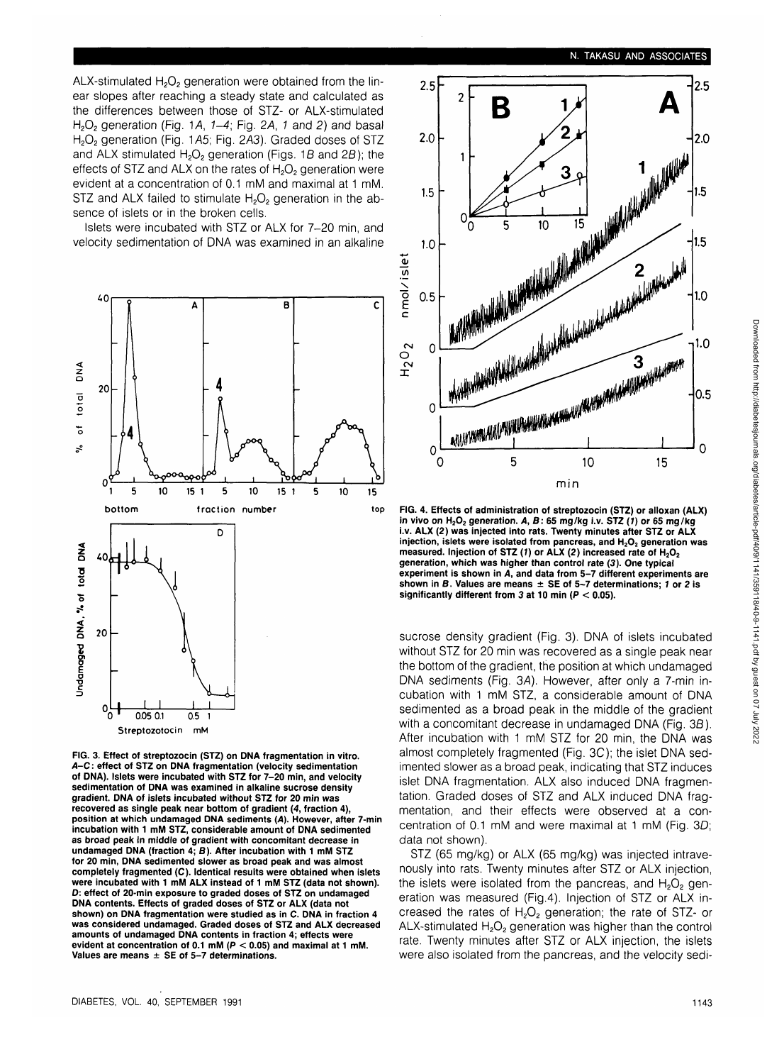ALX-stimulated  $H_2O_2$  generation were obtained from the linear slopes after reaching a steady state and calculated as the differences between those of STZ- or ALX-stimulated H<sub>2</sub>O<sub>2</sub> generation (Fig. 1A,  $1-4$ ; Fig. 2A, 1 and 2) and basal H<sub>2</sub>O<sub>2</sub> generation (Fig. 1A5; Fig. 2A3). Graded doses of STZ and ALX stimulated  $H_2O_2$  generation (Figs. 1B and 2B); the effects of STZ and ALX on the rates of  $H_2O_2$  generation were evident at a concentration of 0.1 mM and maximal at 1 mM. STZ and ALX failed to stimulate  $H_2O_2$  generation in the absence of islets or in the broken cells.

Islets were incubated with STZ or ALX for 7-20 min, and velocity sedimentation of DNA was examined in an alkaline



FIG. 3. Effect of streptozocin (STZ) on **DNA** fragmentation in vitro. A-C: effect of STZ on **DNA** fragmentation (velocity sedimentation of **DNA).** Islets were incubated with STZ for 7-20 min, and velocity sedimentation of **DNA** was examined in alkaline sucrose density gradient. **DNA** of islets incubated without STZ for 20 min was recovered as single peak near bottom of gradient (4, fraction 4), position at which undamaged **DNA** sediments (A). However, after 7-min incubation with 1 mM STZ, considerable amount of **DNA** sedimented as broad peak in middle of gradient with concomitant decrease in undamaged **DNA** (fraction 4; B). After incubation with 1 mM STZ for 20 min, **DNA** sedimented slower as broad peak and was almost completely fragmented (C). Identical results were obtained when islets were incubated with 1 mM **ALX** instead of 1 mM STZ (data not shown). D: effect of 20-min exposure to graded doses of STZ on undamaged **DNA** contents. Effects of graded doses of STZ or ALX (data not shown) on **DNA** fragmentation were studied as in C. **DNA** in fraction 4 was considered undamaged. Graded doses of STZ and ALX decreased amounts of undamaged **DNA** contents in fraction 4; effects were evident at concentration of 0.1 mM ( $P < 0.05$ ) and maximal at 1 mM. Values are means  $\pm$  SE of 5-7 determinations.



FIG. 4. Effects of administration of streptozocin (STZ) or alloxan (ALX) in vivo on  $H_2O_2$  generation. A, B: 65 mg/kg i.v. STZ (1) or 65 mg/kg i.v. **ALX** (2) was injected into rats. Twenty minutes after STZ or **ALX** injection, islets were isolated from pancreas, and  $H_2O_2$  generation was measured. Injection of STZ (1) or ALX (2) increased rate of H<sub>2</sub>O<sub>2</sub> generation, which was higher than control rate (3). One typical experiment is shown in A, and data from 5-7 different experiments are shown in B. Values are means  $\pm$  SE of 5-7 determinations; 1 or 2 is significantly different from 3 at 10 min ( $P < 0.05$ ).

sucrose density gradient (Fig. 3). DNA of islets incubated without STZ for 20 min was recovered as a single peak near the bottom of the gradient, the position at which undamaged DNA sediments (Fig. 3A). However, after only a 7-min incubation with 1 mM STZ, a considerable amount of DNA sedimented as a broad peak in the middle of the gradient with a concomitant decrease in undamaged DNA (Fig. 3B). After incubation with 1 mM STZ for 20 min, the DNA was almost completely fragmented (Fig. 3C); the islet DNA sedimented slower as a broad peak, indicating that STZ induces islet DNA fragmentation. ALX also induced DNA fragmentation. Graded doses of STZ and ALX induced DNA fragmentation, and their effects were observed at a concentration of 0.1 mM and were maximal at 1 mM (Fig. 3D; data not shown).

STZ (65 mg/kg) or ALX (65 mg/kg) was injected intravenously into rats. Twenty minutes after STZ or ALX injection, the islets were isolated from the pancreas, and  $H_2O_2$  generation was measured (Fig.4). Injection of STZ or ALX increased the rates of  $H_2O_2$  generation; the rate of STZ- or ALX-stimulated  $H_2O_2$  generation was higher than the control rate. Twenty minutes after STZ or ALX injection, the islets were also isolated from the pancreas, and the velocity sedi-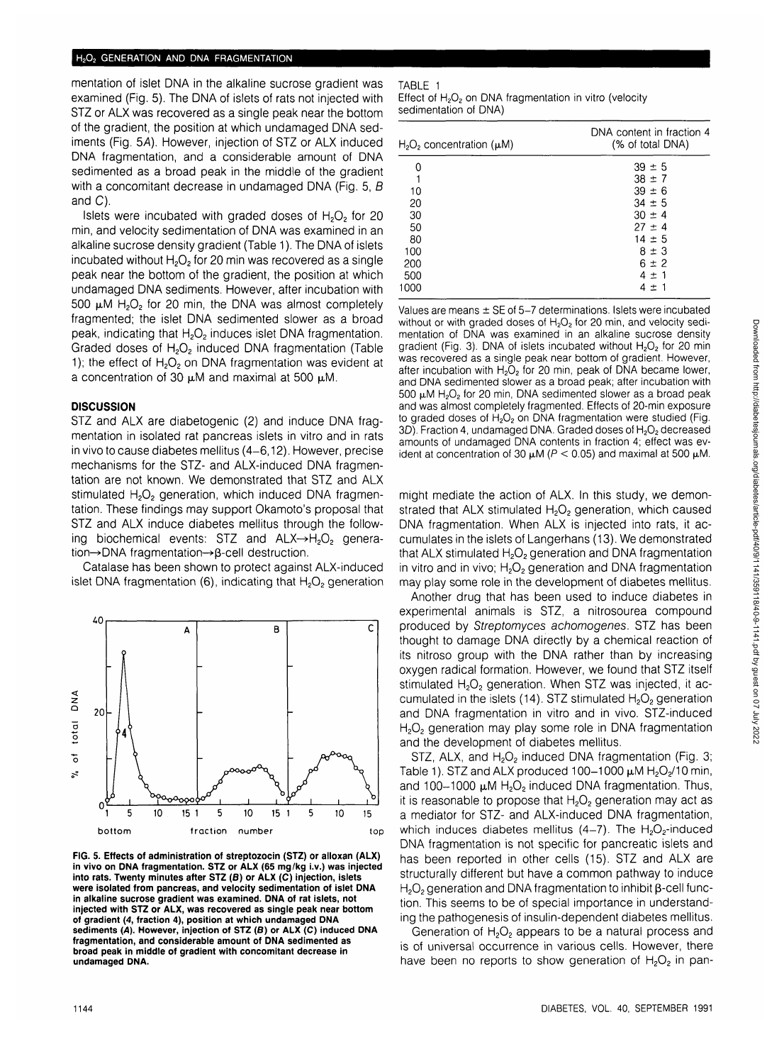#### H<sub>2</sub>O<sub>2</sub> GENERATION AND DNA FRAGMENTATION

mentation of islet DNA in the alkaline sucrose gradient was examined (Fig. 5). The DNA of islets of rats not injected with STZ or ALX was recovered as a single peak near the bottom of the gradient, the position at which undamaged DNA sediments (Fig. 5A). However, injection of STZ or ALX induced DNA fragmentation, and a considerable amount of DNA sedimented as a broad peak in the middle of the gradient with a concomitant decrease in undamaged DNA (Fig. 5, B) and C).

Islets were incubated with graded doses of  $H_2O_2$  for 20 min, and velocity sedimentation of DNA was examined in an alkaline sucrose density gradient (Table 1). The DNA of islets incubated without  $H_2O_2$  for 20 min was recovered as a single peak near the bottom of the gradient, the position at which undamaged DNA sediments. However, after incubation with 500  $\mu$ M H<sub>2</sub>O<sub>2</sub> for 20 min, the DNA was almost completely fragmented; the islet DNA sedimented slower as a broad peak, indicating that H<sub>2</sub>O<sub>2</sub> induces islet DNA fragmentation. Graded doses of H<sub>2</sub>O<sub>2</sub> induced DNA fragmentation (Table 1); the effect of  $H_2O_2$  on DNA fragmentation was evident at a concentration of 30  $\mu$ M and maximal at 500  $\mu$ M.

### **DISCUSSION**

STZ and ALX are diabetogenic (2) and induce DNA fragmentation in isolated rat pancreas islets in vitro and in rats in vivo to cause diabetes mellitus (4-6,12). However, precise mechanisms for the STZ- and ALX-induced DNA fragmentation are not known. We demonstrated that STZ and ALX stimulated  $H_2O_2$  generation, which induced DNA fragmentation. These findings may support Okamoto's proposal that STZ and ALX induce diabetes mellitus through the following biochemical events: STZ and  $ALX\rightarrow H_2O_2$  generation→DNA fragmentation→β-cell destruction.

Catalase has been shown to protect against ALX-induced islet DNA fragmentation  $(6)$ , indicating that  $H_2O_2$  generation



**FIG. 5. Effects of administration of streptozocin (STZ) or alloxan (ALX) in vivo on DNA fragmentation. STZ or ALX (65 mg/kg i.v.) was injected into rats. Twenty minutes after STZ (B) or ALX (C) injection, islets were isolated from pancreas, and velocity sedimentation of islet DNA in alkaline sucrose gradient was examined. DNA of rat islets, not injected with STZ or ALX, was recovered as single peak near bottom of gradient (4, fraction 4), position at which undamaged DNA sediments (A). However, injection of STZ (B) or ALX (C) induced DNA fragmentation, and considerable amount of DNA sedimented as broad peak in middle of gradient with concomitant decrease in undamaged DNA.**

| 100LL 1                                                                         |
|---------------------------------------------------------------------------------|
| Effect of H <sub>2</sub> O <sub>2</sub> on DNA fragmentation in vitro (velocity |
| sedimentation of DNA)                                                           |

TABLE 1

| $H_2O_2$ concentration ( $\mu$ M) | DNA content in fraction 4<br>(% of total DNA) |
|-----------------------------------|-----------------------------------------------|
| O                                 | $39 \pm 5$                                    |
|                                   | $38 \pm 7$                                    |
| 10                                | $39 \pm 6$                                    |
| 20                                | $34 \pm 5$                                    |
| 30                                | $30 \pm 4$                                    |
| 50                                | $27 \pm 4$                                    |
| 80                                | $14 \pm 5$                                    |
| 100                               | $8 \pm 3$                                     |
| 200                               | $6 \pm 2$                                     |
| 500                               | $4 \pm 1$                                     |
| 1000                              | $4 + 1$                                       |

Values are means ± SE of 5-7 determinations. Islets were incubated without or with graded doses of  $H_2O_2$  for 20 min, and velocity sedimentation of DNA was examined in an alkaline sucrose density gradient (Fig. 3). DNA of islets incubated without  $H_2O_2$  for 20 min was recovered as a single peak near bottom of gradient. However, after incubation with  $H_2O_2$  for 20 min, peak of DNA became lower, and DNA sedimented slower as a broad peak; after incubation with  $500 \mu M$  H<sub>2</sub>O<sub>2</sub> for 20 min, DNA sedimented slower as a broad peak and was almost completely fragmented. Effects of 20-min exposure to graded doses of  $H_2O_2$  on DNA fragmentation were studied (Fig. 3D). Fraction 4, undamaged DNA. Graded doses of H<sub>2</sub>O<sub>2</sub> decreased amounts of undamaged DNA contents in fraction 4; effect was evident at concentration of 30  $\mu$ M ( $P$  < 0.05) and maximal at 500  $\mu$ M.

might mediate the action of ALX. In this study, we demonstrated that ALX stimulated  $H_2O_2$  generation, which caused DNA fragmentation. When ALX is injected into rats, it accumulates in the islets of Langerhans (13). We demonstrated that ALX stimulated  $H_2O_2$  generation and DNA fragmentation in vitro and in vivo;  $H_2O_2$  generation and DNA fragmentation may play some role in the development of diabetes mellitus.

Another drug that has been used to induce diabetes in experimental animals is STZ, a nitrosourea compound produced by Streptomyces achomogenes. STZ has been thought to damage DNA directly by a chemical reaction of its nitroso group with the DNA rather than by increasing oxygen radical formation. However, we found that STZ itself stimulated H<sub>2</sub>O<sub>2</sub> generation. When STZ was injected, it accumulated in the islets  $(14)$ . STZ stimulated  $H_2O_2$  generation and DNA fragmentation in vitro and in vivo. STZ-induced H<sub>2</sub>O<sub>2</sub> generation may play some role in DNA fragmentation and the development of diabetes mellitus.

STZ, ALX, and  $H_2O_2$  induced DNA fragmentation (Fig. 3; Table 1). STZ and ALX produced 100-1000  $\mu$ M H<sub>2</sub>O<sub>2</sub>/10 min, and 100-1000  $\mu$ M H<sub>2</sub>O<sub>2</sub> induced DNA fragmentation. Thus, it is reasonable to propose that  $H_2O_2$  generation may act as a mediator for STZ- and ALX-induced DNA fragmentation, which induces diabetes mellitus (4-7). The  $H_2O_2$ -induced DNA fragmentation is not specific for pancreatic islets and has been reported in other cells (15). STZ and ALX are structurally different but have a common pathway to induce  $H<sub>2</sub>O<sub>2</sub>$  generation and DNA fragmentation to inhibit  $\beta$ -cell function. This seems to be of special importance in understanding the pathogenesis of insulin-dependent diabetes mellitus.

Generation of  $H_2O_2$  appears to be a natural process and is of universal occurrence in various cells. However, there have been no reports to show generation of  $H_2O_2$  in pan-